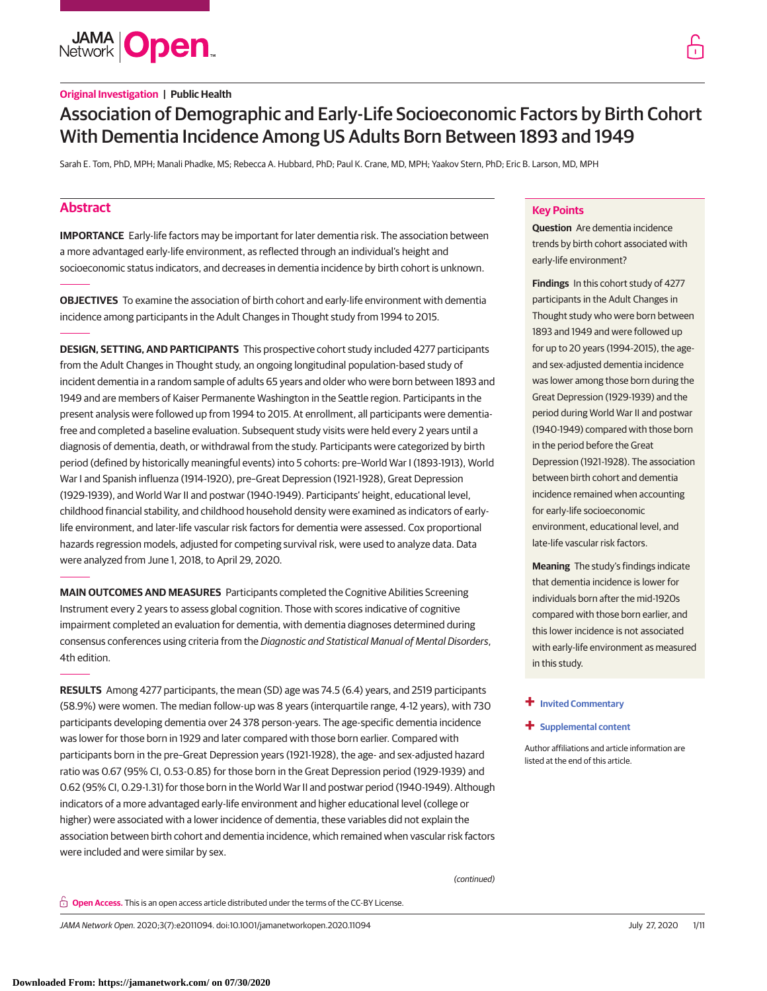**JAMA Open** 

# **Original Investigation | Public Health**

# Association of Demographic and Early-Life Socioeconomic Factors by Birth Cohort With Dementia Incidence Among US Adults Born Between 1893 and 1949

Sarah E. Tom, PhD, MPH; Manali Phadke, MS; Rebecca A. Hubbard, PhD; Paul K. Crane, MD, MPH; Yaakov Stern, PhD; Eric B. Larson, MD, MPH

# **Abstract**

**IMPORTANCE** Early-life factors may be important for later dementia risk. The association between a more advantaged early-life environment, as reflected through an individual's height and socioeconomic status indicators, and decreases in dementia incidence by birth cohort is unknown.

**OBJECTIVES** To examine the association of birth cohort and early-life environment with dementia incidence among participants in the Adult Changes in Thought study from 1994 to 2015.

**DESIGN, SETTING, AND PARTICIPANTS** This prospective cohort study included 4277 participants from the Adult Changes in Thought study, an ongoing longitudinal population-based study of incident dementia in a random sample of adults 65 years and older who were born between 1893 and 1949 and are members of Kaiser Permanente Washington in the Seattle region. Participants in the present analysis were followed up from 1994 to 2015. At enrollment, all participants were dementiafree and completed a baseline evaluation. Subsequent study visits were held every 2 years until a diagnosis of dementia, death, or withdrawal from the study. Participants were categorized by birth period (defined by historically meaningful events) into 5 cohorts: pre–World War I (1893-1913), World War I and Spanish influenza (1914-1920), pre–Great Depression (1921-1928), Great Depression (1929-1939), and World War II and postwar (1940-1949). Participants' height, educational level, childhood financial stability, and childhood household density were examined as indicators of earlylife environment, and later-life vascular risk factors for dementia were assessed. Cox proportional hazards regression models, adjusted for competing survival risk, were used to analyze data. Data were analyzed from June 1, 2018, to April 29, 2020.

**MAIN OUTCOMES AND MEASURES** Participants completed the Cognitive Abilities Screening Instrument every 2 years to assess global cognition. Those with scores indicative of cognitive impairment completed an evaluation for dementia, with dementia diagnoses determined during consensus conferences using criteria from the Diagnostic and Statistical Manual of Mental Disorders, 4th edition.

**RESULTS** Among 4277 participants, the mean (SD) age was 74.5 (6.4) years, and 2519 participants (58.9%) were women. The median follow-up was 8 years (interquartile range, 4-12 years), with 730 participants developing dementia over 24 378 person-years. The age-specific dementia incidence was lower for those born in 1929 and later compared with those born earlier. Compared with participants born in the pre–Great Depression years (1921-1928), the age- and sex-adjusted hazard ratio was 0.67 (95% CI, 0.53-0.85) for those born in the Great Depression period (1929-1939) and 0.62 (95% CI, 0.29-1.31) for those born in the World War II and postwar period (1940-1949). Although indicators of a more advantaged early-life environment and higher educational level (college or higher) were associated with a lower incidence of dementia, these variables did not explain the association between birth cohort and dementia incidence, which remained when vascular risk factors were included and were similar by sex.

(continued)

**Open Access.** This is an open access article distributed under the terms of the CC-BY License.

JAMA Network Open. 2020;3(7):e2011094. doi:10.1001/jamanetworkopen.2020.11094 (Reprinted) July 27, 2020 1/11

# **Key Points**

**Question** Are dementia incidence trends by birth cohort associated with early-life environment?

**Findings** In this cohort study of 4277 participants in the Adult Changes in Thought study who were born between 1893 and 1949 and were followed up for up to 20 years (1994-2015), the ageand sex-adjusted dementia incidence was lower among those born during the Great Depression (1929-1939) and the period during World War II and postwar (1940-1949) compared with those born in the period before the Great Depression (1921-1928). The association between birth cohort and dementia incidence remained when accounting for early-life socioeconomic environment, educational level, and late-life vascular risk factors.

**Meaning** The study's findings indicate that dementia incidence is lower for individuals born after the mid-1920s compared with those born earlier, and this lower incidence is not associated with early-life environment as measured in this study.

### **+ [Invited Commentary](https://jama.jamanetwork.com/article.aspx?doi=10.1001/jamanetworkopen.2020.11199&utm_campaign=articlePDF%26utm_medium=articlePDFlink%26utm_source=articlePDF%26utm_content=jamanetworkopen.2020.11094)**

**+ [Supplemental content](https://jama.jamanetwork.com/article.aspx?doi=10.1001/jamanetworkopen.2020.11094&utm_campaign=articlePDF%26utm_medium=articlePDFlink%26utm_source=articlePDF%26utm_content=jamanetworkopen.2020.11094)**

Author affiliations and article information are listed at the end of this article.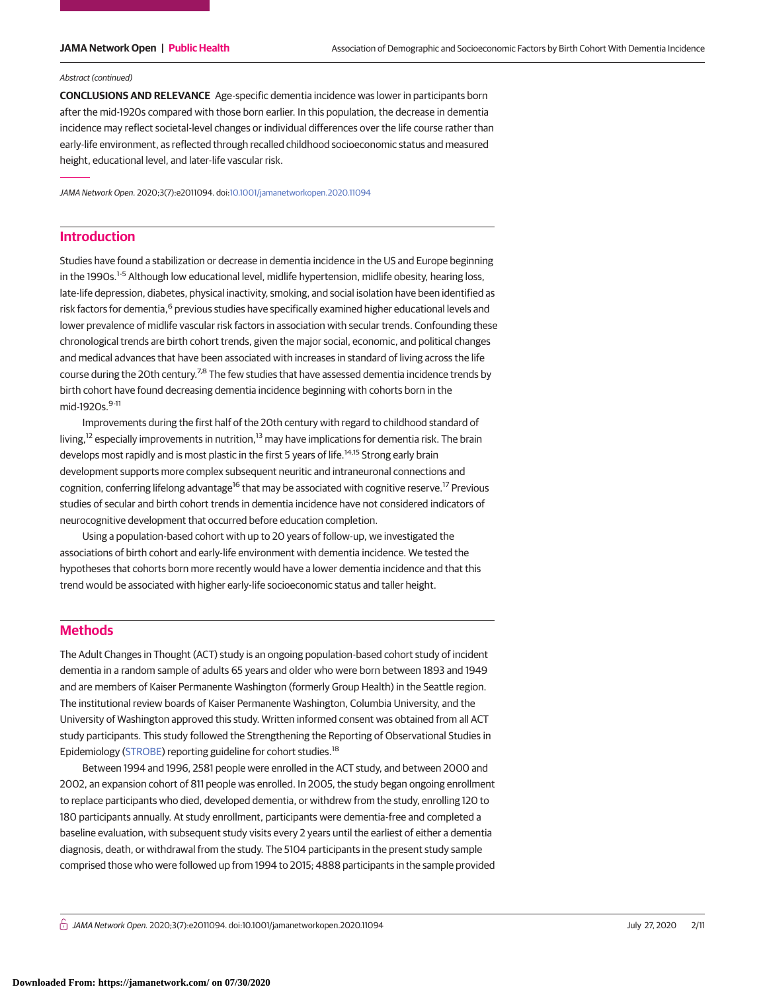### Abstract (continued)

**CONCLUSIONS AND RELEVANCE** Age-specific dementia incidence was lower in participants born after the mid-1920s compared with those born earlier. In this population, the decrease in dementia incidence may reflect societal-level changes or individual differences over the life course rather than early-life environment, as reflected through recalled childhood socioeconomic status and measured height, educational level, and later-life vascular risk.

JAMA Network Open. 2020;3(7):e2011094. doi[:10.1001/jamanetworkopen.2020.11094](https://jama.jamanetwork.com/article.aspx?doi=10.1001/jamanetworkopen.2020.11094&utm_campaign=articlePDF%26utm_medium=articlePDFlink%26utm_source=articlePDF%26utm_content=jamanetworkopen.2020.11094)

# **Introduction**

Studies have found a stabilization or decrease in dementia incidence in the US and Europe beginning in the 1990s.<sup>1-5</sup> Although low educational level, midlife hypertension, midlife obesity, hearing loss, late-life depression, diabetes, physical inactivity, smoking, and social isolation have been identified as risk factors for dementia,<sup>6</sup> previous studies have specifically examined higher educational levels and lower prevalence of midlife vascular risk factors in association with secular trends. Confounding these chronological trends are birth cohort trends, given the major social, economic, and political changes and medical advances that have been associated with increases in standard of living across the life course during the 20th century.<sup>7,8</sup> The few studies that have assessed dementia incidence trends by birth cohort have found decreasing dementia incidence beginning with cohorts born in the mid-1920s.<sup>9-11</sup>

Improvements during the first half of the 20th century with regard to childhood standard of living,<sup>12</sup> especially improvements in nutrition,<sup>13</sup> may have implications for dementia risk. The brain develops most rapidly and is most plastic in the first 5 years of life.<sup>14,15</sup> Strong early brain development supports more complex subsequent neuritic and intraneuronal connections and cognition, conferring lifelong advantage<sup>16</sup> that may be associated with cognitive reserve.<sup>17</sup> Previous studies of secular and birth cohort trends in dementia incidence have not considered indicators of neurocognitive development that occurred before education completion.

Using a population-based cohort with up to 20 years of follow-up, we investigated the associations of birth cohort and early-life environment with dementia incidence. We tested the hypotheses that cohorts born more recently would have a lower dementia incidence and that this trend would be associated with higher early-life socioeconomic status and taller height.

# **Methods**

The Adult Changes in Thought (ACT) study is an ongoing population-based cohort study of incident dementia in a random sample of adults 65 years and older who were born between 1893 and 1949 and are members of Kaiser Permanente Washington (formerly Group Health) in the Seattle region. The institutional review boards of Kaiser Permanente Washington, Columbia University, and the University of Washington approved this study. Written informed consent was obtained from all ACT study participants. This study followed the Strengthening the Reporting of Observational Studies in Epidemiology [\(STROBE\)](https://www.equator-network.org/reporting-guidelines/strobe/) reporting guideline for cohort studies.18

Between 1994 and 1996, 2581 people were enrolled in the ACT study, and between 2000 and 2002, an expansion cohort of 811 people was enrolled. In 2005, the study began ongoing enrollment to replace participants who died, developed dementia, or withdrew from the study, enrolling 120 to 180 participants annually. At study enrollment, participants were dementia-free and completed a baseline evaluation, with subsequent study visits every 2 years until the earliest of either a dementia diagnosis, death, or withdrawal from the study. The 5104 participants in the present study sample comprised those who were followed up from 1994 to 2015; 4888 participants in the sample provided

 $\stackrel{\frown}{\Pi}$  JAMA Network Open. 2020;3(7):e2011094. doi:10.1001/jamanetworkopen.2020.11094 (Reprinted) July 27, 2020 2/11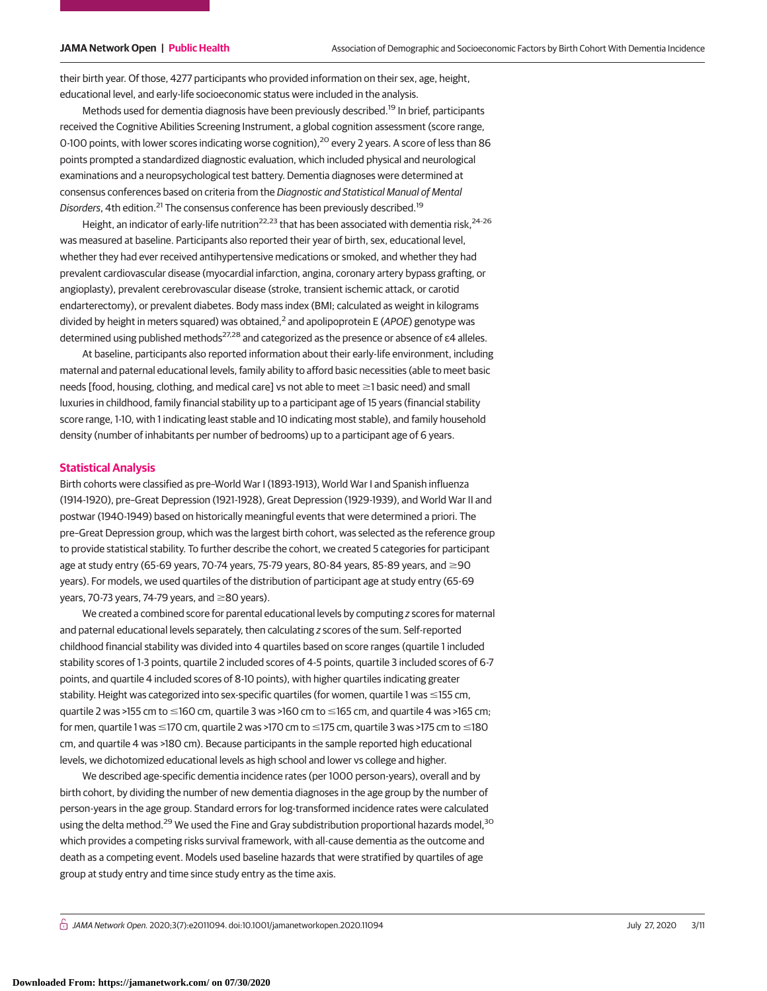their birth year. Of those, 4277 participants who provided information on their sex, age, height, educational level, and early-life socioeconomic status were included in the analysis.

Methods used for dementia diagnosis have been previously described.<sup>19</sup> In brief, participants received the Cognitive Abilities Screening Instrument, a global cognition assessment (score range, 0-100 points, with lower scores indicating worse cognition), <sup>20</sup> every 2 years. A score of less than 86 points prompted a standardized diagnostic evaluation, which included physical and neurological examinations and a neuropsychological test battery. Dementia diagnoses were determined at consensus conferences based on criteria from the Diagnostic and Statistical Manual of Mental Disorders, 4th edition.<sup>21</sup> The consensus conference has been previously described.<sup>19</sup>

Height, an indicator of early-life nutrition<sup>22,23</sup> that has been associated with dementia risk,  $24-26$ was measured at baseline. Participants also reported their year of birth, sex, educational level, whether they had ever received antihypertensive medications or smoked, and whether they had prevalent cardiovascular disease (myocardial infarction, angina, coronary artery bypass grafting, or angioplasty), prevalent cerebrovascular disease (stroke, transient ischemic attack, or carotid endarterectomy), or prevalent diabetes. Body mass index (BMI; calculated as weight in kilograms divided by height in meters squared) was obtained,<sup>2</sup> and apolipoprotein E (APOE) genotype was determined using published methods<sup>27,28</sup> and categorized as the presence or absence of ε4 alleles.

At baseline, participants also reported information about their early-life environment, including maternal and paternal educational levels, family ability to afford basic necessities (able to meet basic needs [food, housing, clothing, and medical care] vs not able to meet  $\geq$ 1 basic need) and small luxuries in childhood, family financial stability up to a participant age of 15 years (financial stability score range, 1-10, with 1 indicating least stable and 10 indicating most stable), and family household density (number of inhabitants per number of bedrooms) up to a participant age of 6 years.

## **Statistical Analysis**

Birth cohorts were classified as pre–World War I (1893-1913), World War I and Spanish influenza (1914-1920), pre–Great Depression (1921-1928), Great Depression (1929-1939), and World War II and postwar (1940-1949) based on historically meaningful events that were determined a priori. The pre–Great Depression group, which was the largest birth cohort, was selected as the reference group to provide statistical stability. To further describe the cohort, we created 5 categories for participant age at study entry (65-69 years, 70-74 years, 75-79 years, 80-84 years, 85-89 years, and  ${\geq}90$ years). For models, we used quartiles of the distribution of participant age at study entry (65-69 years, 70-73 years, 74-79 years, and  $\geq$ 80 years).

We created a combined score for parental educational levels by computing z scores for maternal and paternal educational levels separately, then calculating z scores of the sum. Self-reported childhood financial stability was divided into 4 quartiles based on score ranges (quartile 1 included stability scores of 1-3 points, quartile 2 included scores of 4-5 points, quartile 3 included scores of 6-7 points, and quartile 4 included scores of 8-10 points), with higher quartiles indicating greater stability. Height was categorized into sex-specific quartiles (for women, quartile 1 was ≤155 cm, quartile 2 was >155 cm to  $\leq$ 160 cm, quartile 3 was >160 cm to  $\leq$ 165 cm, and quartile 4 was >165 cm; for men, quartile 1 was  $\leq$  170 cm, quartile 2 was >170 cm to  $\leq$  175 cm, quartile 3 was >175 cm to  $\leq$  180 cm, and quartile 4 was >180 cm). Because participants in the sample reported high educational levels, we dichotomized educational levels as high school and lower vs college and higher.

We described age-specific dementia incidence rates (per 1000 person-years), overall and by birth cohort, by dividing the number of new dementia diagnoses in the age group by the number of person-years in the age group. Standard errors for log-transformed incidence rates were calculated using the delta method.<sup>29</sup> We used the Fine and Gray subdistribution proportional hazards model,<sup>30</sup> which provides a competing risks survival framework, with all-cause dementia as the outcome and death as a competing event. Models used baseline hazards that were stratified by quartiles of age group at study entry and time since study entry as the time axis.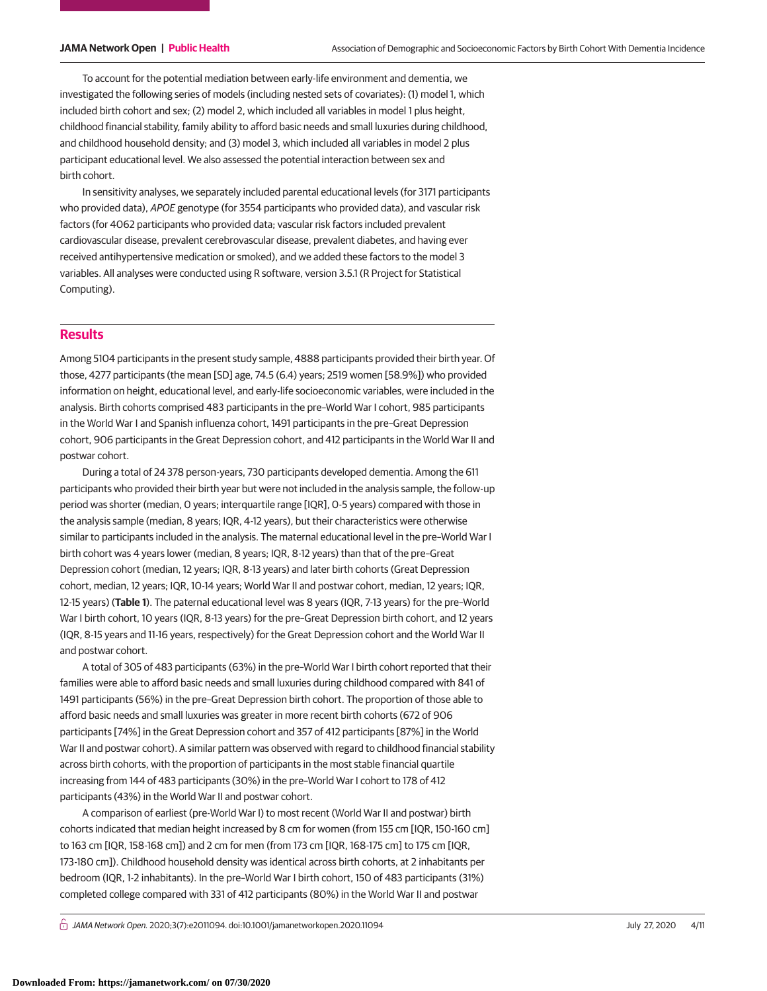To account for the potential mediation between early-life environment and dementia, we investigated the following series of models (including nested sets of covariates): (1) model 1, which included birth cohort and sex; (2) model 2, which included all variables in model 1 plus height, childhood financial stability, family ability to afford basic needs and small luxuries during childhood, and childhood household density; and (3) model 3, which included all variables in model 2 plus participant educational level. We also assessed the potential interaction between sex and birth cohort.

In sensitivity analyses, we separately included parental educational levels (for 3171 participants who provided data), APOE genotype (for 3554 participants who provided data), and vascular risk factors (for 4062 participants who provided data; vascular risk factors included prevalent cardiovascular disease, prevalent cerebrovascular disease, prevalent diabetes, and having ever received antihypertensive medication or smoked), and we added these factors to the model 3 variables. All analyses were conducted using R software, version 3.5.1 (R Project for Statistical Computing).

# **Results**

Among 5104 participants in the present study sample, 4888 participants provided their birth year. Of those, 4277 participants (the mean [SD] age, 74.5 (6.4) years; 2519 women [58.9%]) who provided information on height, educational level, and early-life socioeconomic variables, were included in the analysis. Birth cohorts comprised 483 participants in the pre–World War I cohort, 985 participants in the World War I and Spanish influenza cohort, 1491 participants in the pre–Great Depression cohort, 906 participants in the Great Depression cohort, and 412 participants in the World War II and postwar cohort.

During a total of 24 378 person-years, 730 participants developed dementia. Among the 611 participants who provided their birth year but were not included in the analysis sample, the follow-up period was shorter (median, 0 years; interquartile range [IQR], 0-5 years) compared with those in the analysis sample (median, 8 years; IQR, 4-12 years), but their characteristics were otherwise similar to participants included in the analysis. The maternal educational level in the pre–World War I birth cohort was 4 years lower (median, 8 years; IQR, 8-12 years) than that of the pre–Great Depression cohort (median, 12 years; IQR, 8-13 years) and later birth cohorts (Great Depression cohort, median, 12 years; IQR, 10-14 years; World War II and postwar cohort, median, 12 years; IQR, 12-15 years) (**Table 1**). The paternal educational level was 8 years (IQR, 7-13 years) for the pre–World War I birth cohort, 10 years (IQR, 8-13 years) for the pre–Great Depression birth cohort, and 12 years (IQR, 8-15 years and 11-16 years, respectively) for the Great Depression cohort and the World War II and postwar cohort.

A total of 305 of 483 participants (63%) in the pre–World War I birth cohort reported that their families were able to afford basic needs and small luxuries during childhood compared with 841 of 1491 participants (56%) in the pre–Great Depression birth cohort. The proportion of those able to afford basic needs and small luxuries was greater in more recent birth cohorts (672 of 906 participants [74%] in the Great Depression cohort and 357 of 412 participants [87%] in the World War II and postwar cohort). A similar pattern was observed with regard to childhood financial stability across birth cohorts, with the proportion of participants in the most stable financial quartile increasing from 144 of 483 participants (30%) in the pre–World War I cohort to 178 of 412 participants (43%) in the World War II and postwar cohort.

A comparison of earliest (pre-World War I) to most recent (World War II and postwar) birth cohorts indicated that median height increased by 8 cm for women (from 155 cm [IQR, 150-160 cm] to 163 cm [IQR, 158-168 cm]) and 2 cm for men (from 173 cm [IQR, 168-175 cm] to 175 cm [IQR, 173-180 cm]). Childhood household density was identical across birth cohorts, at 2 inhabitants per bedroom (IQR, 1-2 inhabitants). In the pre–World War I birth cohort, 150 of 483 participants (31%) completed college compared with 331 of 412 participants (80%) in the World War II and postwar

 $\bigcap$  JAMA Network Open. 2020;3(7):e2011094. doi:10.1001/jamanetworkopen.2020.11094 (Reprinted) July 27, 2020 4/11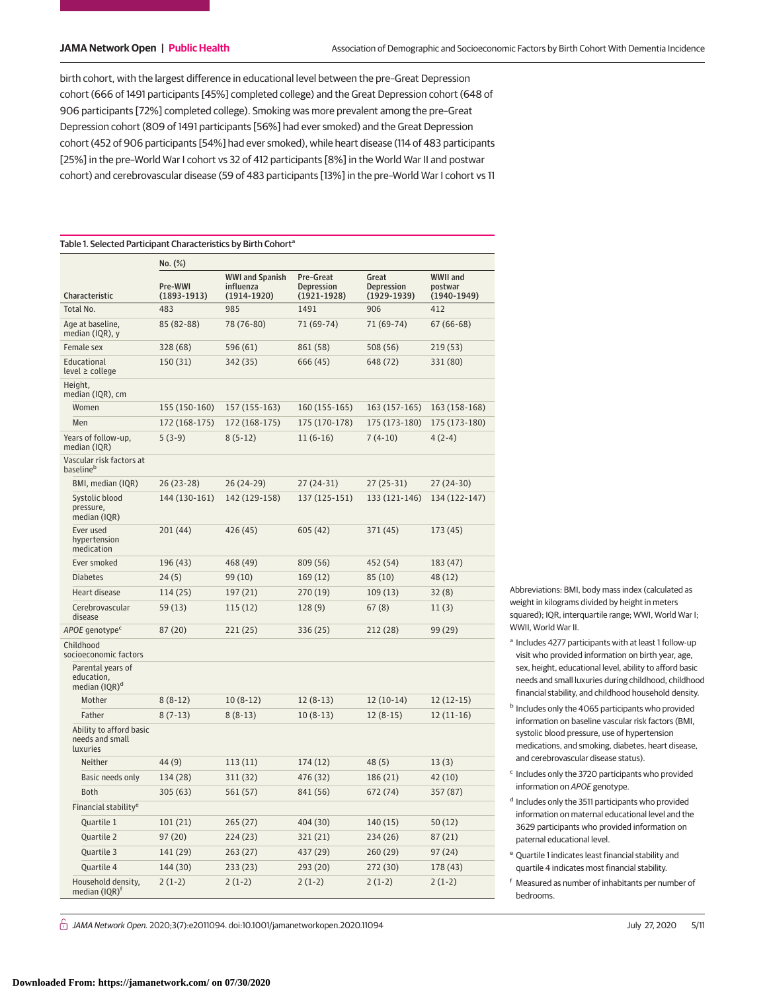birth cohort, with the largest difference in educational level between the pre–Great Depression cohort (666 of 1491 participants [45%] completed college) and the Great Depression cohort (648 of 906 participants [72%] completed college). Smoking was more prevalent among the pre–Great Depression cohort (809 of 1491 participants [56%] had ever smoked) and the Great Depression cohort (452 of 906 participants [54%] had ever smoked), while heart disease (114 of 483 participants [25%] in the pre–World War I cohort vs 32 of 412 participants [8%] in the World War II and postwar cohort) and cerebrovascular disease (59 of 483 participants [13%] in the pre–World War I cohort vs 11

### Table 1. Selected Participant Characteristics by Birth Cohort<sup>a</sup>

|                                                              | $No. (\%)$                 |                                                      |                                                   |                                           |                                             |
|--------------------------------------------------------------|----------------------------|------------------------------------------------------|---------------------------------------------------|-------------------------------------------|---------------------------------------------|
| Characteristic                                               | Pre-WWI<br>$(1893 - 1913)$ | <b>WWI and Spanish</b><br>influenza<br>$(1914-1920)$ | Pre-Great<br><b>Depression</b><br>$(1921 - 1928)$ | Great<br><b>Depression</b><br>(1929-1939) | <b>WWII and</b><br>postwar<br>$(1940-1949)$ |
| Total No.                                                    | 483                        | 985                                                  | 1491                                              | 906                                       | 412                                         |
| Age at baseline,<br>median (IQR), y                          | 85 (82-88)                 | 78 (76-80)                                           | 71 (69-74)                                        | 71 (69-74)                                | 67 (66-68)                                  |
| Female sex                                                   | 328 (68)                   | 596 (61)                                             | 861 (58)                                          | 508 (56)                                  | 219 (53)                                    |
| Educational<br>$level \geq$ college                          | 150 (31)                   | 342 (35)                                             | 666 (45)                                          | 648 (72)                                  | 331 (80)                                    |
| Height,<br>median (IQR), cm                                  |                            |                                                      |                                                   |                                           |                                             |
| Women                                                        | 155 (150-160)              | 157 (155-163)                                        | 160 (155-165)                                     | 163 (157-165)                             | 163 (158-168)                               |
| Men                                                          | 172 (168-175)              | 172 (168-175)                                        | 175 (170-178)                                     | 175 (173-180)                             | 175 (173-180)                               |
| Years of follow-up,<br>median (IQR)                          | $5(3-9)$                   | $8(5-12)$                                            | $11(6-16)$                                        | $7(4-10)$                                 | $4(2-4)$                                    |
| Vascular risk factors at<br>baselineb                        |                            |                                                      |                                                   |                                           |                                             |
| BMI, median (IQR)                                            | 26 (23-28)                 | 26 (24-29)                                           | $27(24-31)$                                       | $27(25-31)$                               | 27 (24-30)                                  |
| Systolic blood<br>pressure,<br>median (IQR)                  | 144 (130-161)              | 142 (129-158)                                        | 137 (125-151)                                     | 133 (121-146)                             | 134 (122-147)                               |
| Ever used<br>hypertension<br>medication                      | 201 (44)                   | 426 (45)                                             | 605 (42)                                          | 371 (45)                                  | 173 (45)                                    |
| Ever smoked                                                  | 196 (43)                   | 468 (49)                                             | 809 (56)                                          | 452 (54)                                  | 183 (47)                                    |
| <b>Diabetes</b>                                              | 24(5)                      | 99 (10)                                              | 169 (12)                                          | 85 (10)                                   | 48 (12)                                     |
| Heart disease                                                | 114 (25)                   | 197 (21)                                             | 270 (19)                                          | 109(13)                                   | 32(8)                                       |
| Cerebrovascular<br>disease                                   | 59 (13)                    | 115 (12)                                             | 128(9)                                            | 67(8)                                     | 11(3)                                       |
| APOE genotype <sup>c</sup>                                   | 87(20)                     | 221 (25)                                             | 336 (25)                                          | 212 (28)                                  | 99 (29)                                     |
| Childhood<br>socioeconomic factors                           |                            |                                                      |                                                   |                                           |                                             |
| Parental years of<br>education,<br>median (IQR) <sup>d</sup> |                            |                                                      |                                                   |                                           |                                             |
| Mother                                                       | $8(8-12)$                  | $10(8-12)$                                           | $12(8-13)$                                        | $12(10-14)$                               | $12(12-15)$                                 |
| Father                                                       | $8(7-13)$                  | $8(8-13)$                                            | $10(8-13)$                                        | $12(8-15)$                                | $12(11-16)$                                 |
| Ability to afford basic<br>needs and small<br>luxuries       |                            |                                                      |                                                   |                                           |                                             |
| Neither                                                      | 44 (9)                     | 113(11)                                              | 174 (12)                                          | 48(5)                                     | 13(3)                                       |
| Basic needs only                                             | 134 (28)                   | 311 (32)                                             | 476 (32)                                          | 186 (21)                                  | 42 (10)                                     |
| <b>Both</b>                                                  | 305 (63)                   | 561 (57)                                             | 841 (56)                                          | 672 (74)                                  | 357 (87)                                    |
| Financial stability <sup>e</sup>                             |                            |                                                      |                                                   |                                           |                                             |
| Quartile 1                                                   | 101 (21)                   | 265 (27)                                             | 404 (30)                                          | 140 (15)                                  | 50 (12)                                     |
| Quartile 2                                                   | 97 (20)                    | 224 (23)                                             | 321 (21)                                          | 234 (26)                                  | 87 (21)                                     |
| Quartile 3                                                   | 141 (29)                   | 263 (27)                                             | 437 (29)                                          | 260 (29)                                  | 97(24)                                      |
| Quartile 4                                                   | 144 (30)                   | 233 (23)                                             | 293 (20)                                          | 272 (30)                                  | 178 (43)                                    |
| Household density,<br>median $(IQR)^{t}$                     | $2(1-2)$                   | $2(1-2)$                                             | $2(1-2)$                                          | $2(1-2)$                                  | $2(1-2)$                                    |

 $\bigcap$  JAMA Network Open. 2020;3(7):e2011094. doi:10.1001/jamanetworkopen.2020.11094 (September 1997) July 27, 2020 5/11

Abbreviations: BMI, body mass index (calculated as weight in kilograms divided by height in meters squared); IQR, interquartile range; WWI, World War I; WWII, World War II.

- <sup>a</sup> Includes 4277 participants with at least 1 follow-up visit who provided information on birth year, age, sex, height, educational level, ability to afford basic needs and small luxuries during childhood, childhood financial stability, and childhood household density.
- <sup>b</sup> Includes only the 4065 participants who provided information on baseline vascular risk factors (BMI, systolic blood pressure, use of hypertension medications, and smoking, diabetes, heart disease, and cerebrovascular disease status).
- <sup>c</sup> Includes only the 3720 participants who provided information on APOE genotype.
- <sup>d</sup> Includes only the 3511 participants who provided information on maternal educational level and the 3629 participants who provided information on paternal educational level.
- <sup>e</sup> Quartile 1 indicates least financial stability and quartile 4 indicates most financial stability.
- <sup>f</sup> Measured as number of inhabitants per number of bedrooms.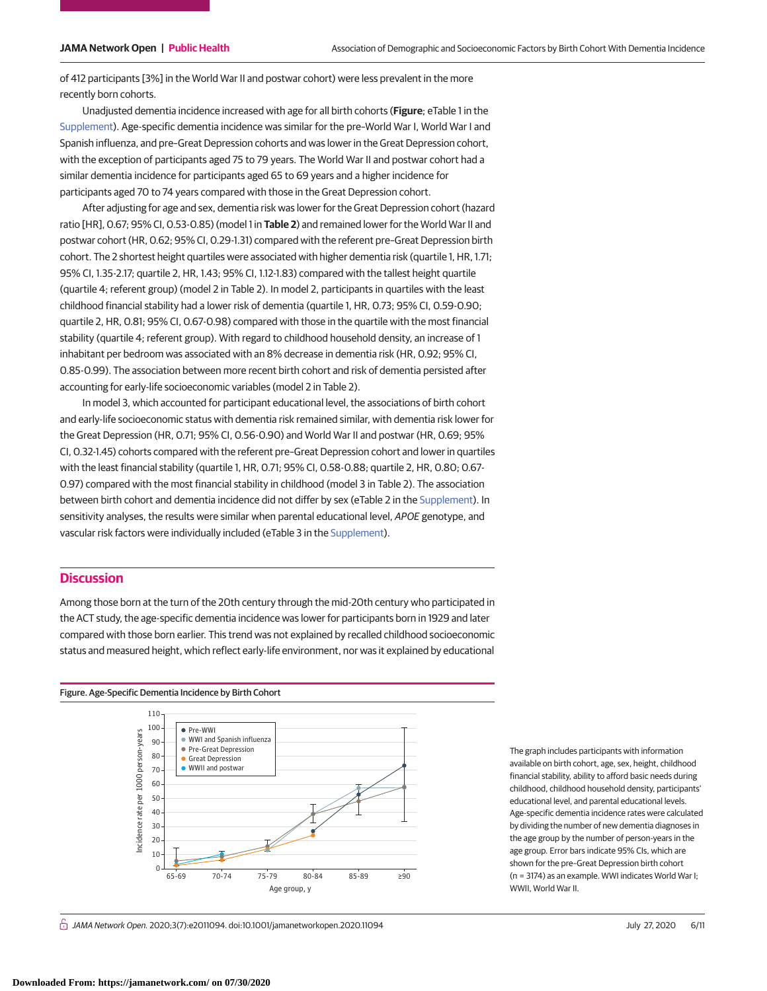of 412 participants [3%] in the World War II and postwar cohort) were less prevalent in the more recently born cohorts.

Unadjusted dementia incidence increased with age for all birth cohorts (**Figure**; eTable 1 in the [Supplement\)](https://jama.jamanetwork.com/article.aspx?doi=10.1001/jamanetworkopen.2020.11094&utm_campaign=articlePDF%26utm_medium=articlePDFlink%26utm_source=articlePDF%26utm_content=jamanetworkopen.2020.11094). Age-specific dementia incidence was similar for the pre–World War I, World War I and Spanish influenza, and pre–Great Depression cohorts and was lower in the Great Depression cohort, with the exception of participants aged 75 to 79 years. The World War II and postwar cohort had a similar dementia incidence for participants aged 65 to 69 years and a higher incidence for participants aged 70 to 74 years compared with those in the Great Depression cohort.

After adjusting for age and sex, dementia risk was lower for the Great Depression cohort (hazard ratio [HR], 0.67; 95% CI, 0.53-0.85) (model 1 in **Table 2**) and remained lower for the World War II and postwar cohort (HR, 0.62; 95% CI, 0.29-1.31) compared with the referent pre–Great Depression birth cohort. The 2 shortest height quartiles were associated with higher dementia risk (quartile 1, HR, 1.71; 95% CI, 1.35-2.17; quartile 2, HR, 1.43; 95% CI, 1.12-1.83) compared with the tallest height quartile (quartile 4; referent group) (model 2 in Table 2). In model 2, participants in quartiles with the least childhood financial stability had a lower risk of dementia (quartile 1, HR, 0.73; 95% CI, 0.59-0.90; quartile 2, HR, 0.81; 95% CI, 0.67-0.98) compared with those in the quartile with the most financial stability (quartile 4; referent group). With regard to childhood household density, an increase of 1 inhabitant per bedroom was associated with an 8% decrease in dementia risk (HR, 0.92; 95% CI, 0.85-0.99). The association between more recent birth cohort and risk of dementia persisted after accounting for early-life socioeconomic variables (model 2 in Table 2).

In model 3, which accounted for participant educational level, the associations of birth cohort and early-life socioeconomic status with dementia risk remained similar, with dementia risk lower for the Great Depression (HR, 0.71; 95% CI, 0.56-0.90) and World War II and postwar (HR, 0.69; 95% CI, 0.32-1.45) cohorts compared with the referent pre–Great Depression cohort and lower in quartiles with the least financial stability (quartile 1, HR, 0.71; 95% CI, 0.58-0.88; quartile 2, HR, 0.80; 0.67- 0.97) compared with the most financial stability in childhood (model 3 in Table 2). The association between birth cohort and dementia incidence did not differ by sex (eTable 2 in the [Supplement\)](https://jama.jamanetwork.com/article.aspx?doi=10.1001/jamanetworkopen.2020.11094&utm_campaign=articlePDF%26utm_medium=articlePDFlink%26utm_source=articlePDF%26utm_content=jamanetworkopen.2020.11094). In sensitivity analyses, the results were similar when parental educational level, APOE genotype, and vascular risk factors were individually included (eTable 3 in the [Supplement\)](https://jama.jamanetwork.com/article.aspx?doi=10.1001/jamanetworkopen.2020.11094&utm_campaign=articlePDF%26utm_medium=articlePDFlink%26utm_source=articlePDF%26utm_content=jamanetworkopen.2020.11094).

# **Discussion**

Among those born at the turn of the 20th century through the mid-20th century who participated in the ACT study, the age-specific dementia incidence was lower for participants born in 1929 and later compared with those born earlier. This trend was not explained by recalled childhood socioeconomic status and measured height, which reflect early-life environment, nor was it explained by educational



The graph includes participants with information available on birth cohort, age, sex, height, childhood financial stability, ability to afford basic needs during childhood, childhood household density, participants' educational level, and parental educational levels. Age-specific dementia incidence rates were calculated by dividing the number of new dementia diagnoses in the age group by the number of person-years in the age group. Error bars indicate 95% CIs, which are shown for the pre–Great Depression birth cohort (n = 3174) as an example. WWI indicates World War I; WWII, World War II.

### Figure. Age-Specific Dementia Incidence by Birth Cohort

 $\stackrel{\frown}{\Pi}$  JAMA Network Open. 2020;3(7):e2011094. doi:10.1001/jamanetworkopen.2020.11094 (Reprinted) July 27, 2020 6/11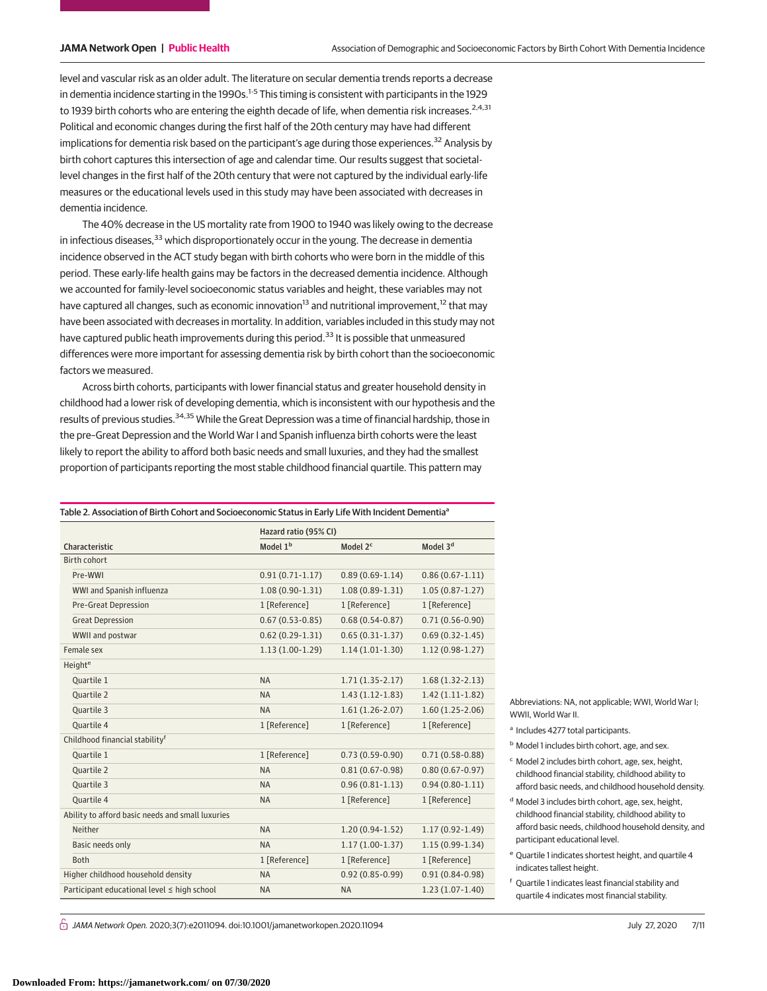level and vascular risk as an older adult. The literature on secular dementia trends reports a decrease in dementia incidence starting in the 1990s.<sup>1-5</sup> This timing is consistent with participants in the 1929 to 1939 birth cohorts who are entering the eighth decade of life, when dementia risk increases.<sup>2,4,31</sup> Political and economic changes during the first half of the 20th century may have had different implications for dementia risk based on the participant's age during those experiences.<sup>32</sup> Analysis by birth cohort captures this intersection of age and calendar time. Our results suggest that societallevel changes in the first half of the 20th century that were not captured by the individual early-life measures or the educational levels used in this study may have been associated with decreases in dementia incidence.

The 40% decrease in the US mortality rate from 1900 to 1940 was likely owing to the decrease in infectious diseases,<sup>33</sup> which disproportionately occur in the young. The decrease in dementia incidence observed in the ACT study began with birth cohorts who were born in the middle of this period. These early-life health gains may be factors in the decreased dementia incidence. Although we accounted for family-level socioeconomic status variables and height, these variables may not have captured all changes, such as economic innovation<sup>13</sup> and nutritional improvement,<sup>12</sup> that may have been associated with decreases in mortality. In addition, variables included in this study may not have captured public heath improvements during this period.<sup>33</sup> It is possible that unmeasured differences were more important for assessing dementia risk by birth cohort than the socioeconomic factors we measured.

Across birth cohorts, participants with lower financial status and greater household density in childhood had a lower risk of developing dementia, which is inconsistent with our hypothesis and the results of previous studies.<sup>34,35</sup> While the Great Depression was a time of financial hardship, those in the pre–Great Depression and the World War I and Spanish influenza birth cohorts were the least likely to report the ability to afford both basic needs and small luxuries, and they had the smallest proportion of participants reporting the most stable childhood financial quartile. This pattern may

|                                                  | Hazard ratio (95% CI) |                      |                      |
|--------------------------------------------------|-----------------------|----------------------|----------------------|
| Characteristic                                   | Model 1 <sup>b</sup>  | Model 2 <sup>c</sup> | Model 3 <sup>d</sup> |
| Birth cohort                                     |                       |                      |                      |
| Pre-WWI                                          | $0.91(0.71-1.17)$     | $0.89(0.69-1.14)$    | $0.86(0.67-1.11)$    |
| <b>WWI and Spanish influenza</b>                 | $1.08(0.90-1.31)$     | $1.08(0.89-1.31)$    | $1.05(0.87 - 1.27)$  |
| <b>Pre-Great Depression</b>                      | 1 [Reference]         | 1 [Reference]        | 1 [Reference]        |
| <b>Great Depression</b>                          | $0.67(0.53 - 0.85)$   | $0.68(0.54-0.87)$    | $0.71(0.56 - 0.90)$  |
| WWII and postwar                                 | $0.62(0.29-1.31)$     | $0.65(0.31-1.37)$    | $0.69(0.32 - 1.45)$  |
| Female sex                                       | $1.13(1.00-1.29)$     | $1.14(1.01-1.30)$    | $1.12(0.98-1.27)$    |
| Height <sup>e</sup>                              |                       |                      |                      |
| Quartile 1                                       | <b>NA</b>             | $1.71(1.35-2.17)$    | $1.68(1.32-2.13)$    |
| Quartile 2                                       | <b>NA</b>             | $1.43(1.12-1.83)$    | $1.42(1.11-1.82)$    |
| Quartile 3                                       | <b>NA</b>             | $1.61(1.26-2.07)$    | $1.60(1.25-2.06)$    |
| <b>Ouartile 4</b>                                | 1 [Reference]         | 1 [Reference]        | 1 [Reference]        |
| Childhood financial stability <sup>f</sup>       |                       |                      |                      |
| Quartile 1                                       | 1 [Reference]         | $0.73(0.59 - 0.90)$  | $0.71(0.58-0.88)$    |
| <b>Ouartile 2</b>                                | <b>NA</b>             | $0.81(0.67 - 0.98)$  | $0.80(0.67 - 0.97)$  |
| Ouartile 3                                       | <b>NA</b>             | $0.96(0.81 - 1.13)$  | $0.94(0.80-1.11)$    |
| <b>Ouartile 4</b>                                | <b>NA</b>             | 1 [Reference]        | 1 [Reference]        |
| Ability to afford basic needs and small luxuries |                       |                      |                      |
| Neither                                          | <b>NA</b>             | $1.20(0.94-1.52)$    | $1.17(0.92 - 1.49)$  |
| Basic needs only                                 | <b>NA</b>             | $1.17(1.00-1.37)$    | $1.15(0.99-1.34)$    |
| <b>Both</b>                                      | 1 [Reference]         | 1 [Reference]        | 1 [Reference]        |
| Higher childhood household density               | <b>NA</b>             | $0.92(0.85 - 0.99)$  | $0.91(0.84 - 0.98)$  |
| Participant educational level ≤ high school      | <b>NA</b>             | <b>NA</b>            | $1.23(1.07-1.40)$    |

Abbreviations: NA, not applicable; WWI, World War I; WWII, World War II.

- <sup>a</sup> Includes 4277 total participants.
- b Model 1 includes birth cohort, age, and sex.
- <sup>c</sup> Model 2 includes birth cohort, age, sex, height, childhood financial stability, childhood ability to afford basic needs, and childhood household density.
- <sup>d</sup> Model 3 includes birth cohort, age, sex, height, childhood financial stability, childhood ability to afford basic needs, childhood household density, and participant educational level.
- <sup>e</sup> Quartile 1 indicates shortest height, and quartile 4 indicates tallest height.
- <sup>f</sup> Quartile 1 indicates least financial stability and quartile 4 indicates most financial stability.

 $\stackrel{\curvearrowright}{\cap}$  JAMA Network Open. 2020;3(7):e2011094. doi:10.1001/jamanetworkopen.2020.11094 (Reprinted) July 27, 2020 7/11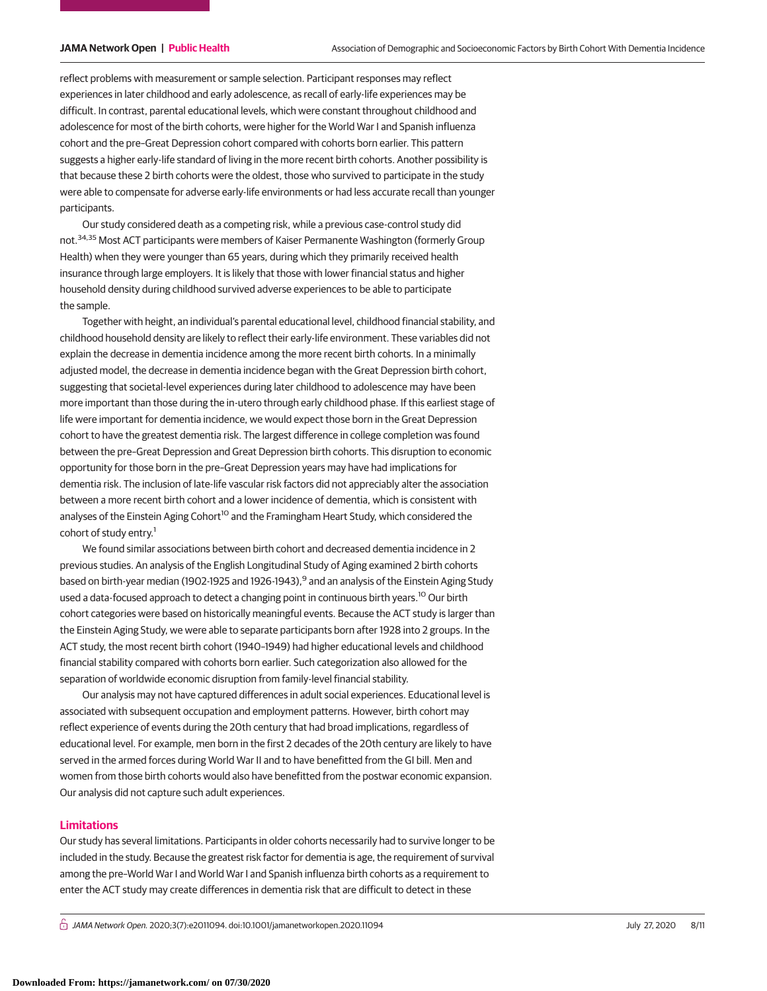reflect problems with measurement or sample selection. Participant responses may reflect experiences in later childhood and early adolescence, as recall of early-life experiences may be difficult. In contrast, parental educational levels, which were constant throughout childhood and adolescence for most of the birth cohorts, were higher for the World War I and Spanish influenza cohort and the pre–Great Depression cohort compared with cohorts born earlier. This pattern suggests a higher early-life standard of living in the more recent birth cohorts. Another possibility is that because these 2 birth cohorts were the oldest, those who survived to participate in the study were able to compensate for adverse early-life environments or had less accurate recall than younger participants.

Our study considered death as a competing risk, while a previous case-control study did not.34,35 Most ACT participants were members of Kaiser Permanente Washington (formerly Group Health) when they were younger than 65 years, during which they primarily received health insurance through large employers. It is likely that those with lower financial status and higher household density during childhood survived adverse experiences to be able to participate the sample.

Together with height, an individual's parental educational level, childhood financial stability, and childhood household density are likely to reflect their early-life environment. These variables did not explain the decrease in dementia incidence among the more recent birth cohorts. In a minimally adjusted model, the decrease in dementia incidence began with the Great Depression birth cohort, suggesting that societal-level experiences during later childhood to adolescence may have been more important than those during the in-utero through early childhood phase. If this earliest stage of life were important for dementia incidence, we would expect those born in the Great Depression cohort to have the greatest dementia risk. The largest difference in college completion was found between the pre–Great Depression and Great Depression birth cohorts. This disruption to economic opportunity for those born in the pre–Great Depression years may have had implications for dementia risk. The inclusion of late-life vascular risk factors did not appreciably alter the association between a more recent birth cohort and a lower incidence of dementia, which is consistent with analyses of the Einstein Aging Cohort<sup>10</sup> and the Framingham Heart Study, which considered the cohort of study entry.<sup>1</sup>

We found similar associations between birth cohort and decreased dementia incidence in 2 previous studies. An analysis of the English Longitudinal Study of Aging examined 2 birth cohorts based on birth-year median (1902-1925 and 1926-1943),<sup>9</sup> and an analysis of the Einstein Aging Study used a data-focused approach to detect a changing point in continuous birth years.<sup>10</sup> Our birth cohort categories were based on historically meaningful events. Because the ACT study is larger than the Einstein Aging Study, we were able to separate participants born after 1928 into 2 groups. In the ACT study, the most recent birth cohort (1940–1949) had higher educational levels and childhood financial stability compared with cohorts born earlier. Such categorization also allowed for the separation of worldwide economic disruption from family-level financial stability.

Our analysis may not have captured differences in adult social experiences. Educational level is associated with subsequent occupation and employment patterns. However, birth cohort may reflect experience of events during the 20th century that had broad implications, regardless of educational level. For example, men born in the first 2 decades of the 20th century are likely to have served in the armed forces during World War II and to have benefitted from the GI bill. Men and women from those birth cohorts would also have benefitted from the postwar economic expansion. Our analysis did not capture such adult experiences.

## **Limitations**

Our study has several limitations. Participants in older cohorts necessarily had to survive longer to be included in the study. Because the greatest risk factor for dementia is age, the requirement of survival among the pre–World War I and World War I and Spanish influenza birth cohorts as a requirement to enter the ACT study may create differences in dementia risk that are difficult to detect in these

 $\bigcap$  JAMA Network Open. 2020;3(7):e2011094. doi:10.1001/jamanetworkopen.2020.11094 (Reprinted) July 27, 2020 8/11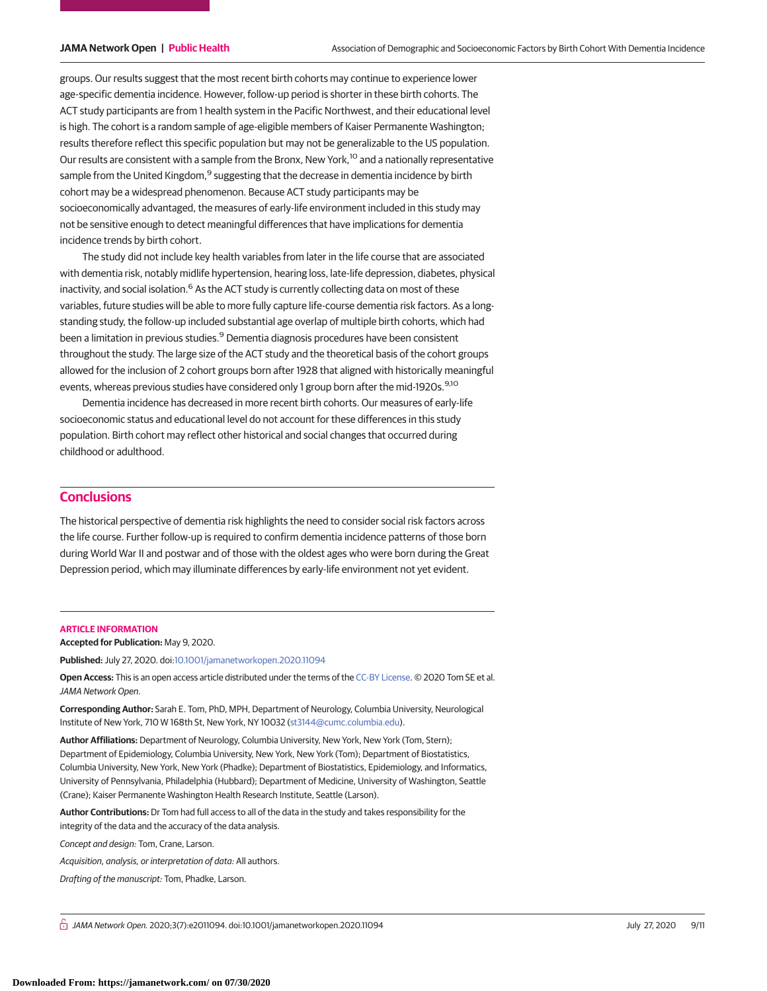groups. Our results suggest that the most recent birth cohorts may continue to experience lower age-specific dementia incidence. However, follow-up period is shorter in these birth cohorts. The ACT study participants are from 1 health system in the Pacific Northwest, and their educational level is high. The cohort is a random sample of age-eligible members of Kaiser Permanente Washington; results therefore reflect this specific population but may not be generalizable to the US population. Our results are consistent with a sample from the Bronx, New York,<sup>10</sup> and a nationally representative sample from the United Kingdom, $9$  suggesting that the decrease in dementia incidence by birth cohort may be a widespread phenomenon. Because ACT study participants may be socioeconomically advantaged, the measures of early-life environment included in this study may not be sensitive enough to detect meaningful differences that have implications for dementia incidence trends by birth cohort.

The study did not include key health variables from later in the life course that are associated with dementia risk, notably midlife hypertension, hearing loss, late-life depression, diabetes, physical inactivity, and social isolation.<sup>6</sup> As the ACT study is currently collecting data on most of these variables, future studies will be able to more fully capture life-course dementia risk factors. As a longstanding study, the follow-up included substantial age overlap of multiple birth cohorts, which had been a limitation in previous studies.<sup>9</sup> Dementia diagnosis procedures have been consistent throughout the study. The large size of the ACT study and the theoretical basis of the cohort groups allowed for the inclusion of 2 cohort groups born after 1928 that aligned with historically meaningful events, whereas previous studies have considered only 1 group born after the mid-1920s.<sup>9,10</sup>

Dementia incidence has decreased in more recent birth cohorts. Our measures of early-life socioeconomic status and educational level do not account for these differences in this study population. Birth cohort may reflect other historical and social changes that occurred during childhood or adulthood.

# **Conclusions**

The historical perspective of dementia risk highlights the need to consider social risk factors across the life course. Further follow-up is required to confirm dementia incidence patterns of those born during World War II and postwar and of those with the oldest ages who were born during the Great Depression period, which may illuminate differences by early-life environment not yet evident.

### **ARTICLE INFORMATION**

**Accepted for Publication:** May 9, 2020.

**Published:** July 27, 2020. doi[:10.1001/jamanetworkopen.2020.11094](https://jama.jamanetwork.com/article.aspx?doi=10.1001/jamanetworkopen.2020.11094&utm_campaign=articlePDF%26utm_medium=articlePDFlink%26utm_source=articlePDF%26utm_content=jamanetworkopen.2020.11094)

**Open Access:** This is an open access article distributed under the terms of the [CC-BY License.](https://jamanetwork.com/journals/jamanetworkopen/pages/instructions-for-authors#SecOpenAccess/?utm_campaign=articlePDF%26utm_medium=articlePDFlink%26utm_source=articlePDF%26utm_content=jamanetworkopen.2020.11094) © 2020 Tom SE et al. JAMA Network Open.

**Corresponding Author:** Sarah E. Tom, PhD, MPH, Department of Neurology, Columbia University, Neurological Institute of New York, 710 W 168th St, New York, NY 10032 [\(st3144@cumc.columbia.edu\)](mailto:st3144@cumc.columbia.edu).

**Author Affiliations:** Department of Neurology, Columbia University, New York, New York (Tom, Stern); Department of Epidemiology, Columbia University, New York, New York (Tom); Department of Biostatistics, Columbia University, New York, New York (Phadke); Department of Biostatistics, Epidemiology, and Informatics, University of Pennsylvania, Philadelphia (Hubbard); Department of Medicine, University of Washington, Seattle (Crane); Kaiser Permanente Washington Health Research Institute, Seattle (Larson).

**Author Contributions:** Dr Tom had full access to all of the data in the study and takes responsibility for the integrity of the data and the accuracy of the data analysis.

Concept and design: Tom, Crane, Larson.

Acquisition, analysis, or interpretation of data: All authors.

Drafting of the manuscript: Tom, Phadke, Larson.

 $\bigcap$  JAMA Network Open. 2020;3(7):e2011094. doi:10.1001/jamanetworkopen.2020.11094 (Reprinted) July 27, 2020 9/11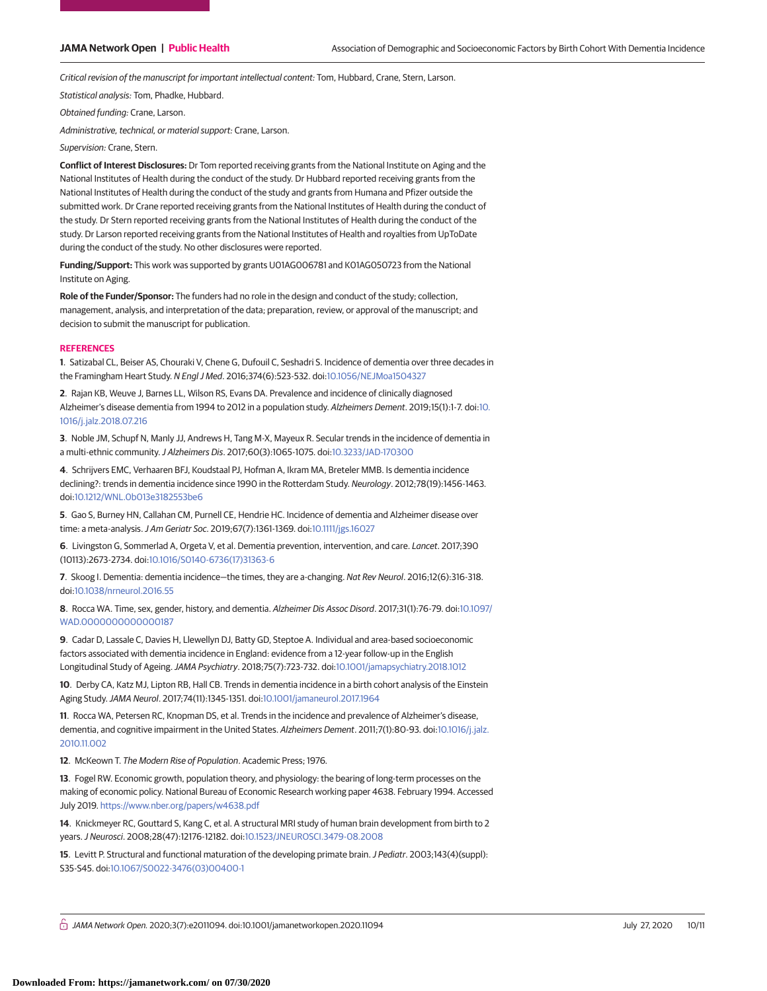Critical revision of the manuscript for important intellectual content: Tom, Hubbard, Crane, Stern, Larson.

Statistical analysis: Tom, Phadke, Hubbard.

Obtained funding: Crane, Larson.

Administrative, technical, or material support: Crane, Larson.

Supervision: Crane, Stern.

**Conflict of Interest Disclosures:** Dr Tom reported receiving grants from the National Institute on Aging and the National Institutes of Health during the conduct of the study. Dr Hubbard reported receiving grants from the National Institutes of Health during the conduct of the study and grants from Humana and Pfizer outside the submitted work. Dr Crane reported receiving grants from the National Institutes of Health during the conduct of the study. Dr Stern reported receiving grants from the National Institutes of Health during the conduct of the study. Dr Larson reported receiving grants from the National Institutes of Health and royalties from UpToDate during the conduct of the study. No other disclosures were reported.

**Funding/Support:** This work was supported by grants U01AG006781 and K01AG050723 from the National Institute on Aging.

**Role of the Funder/Sponsor:** The funders had no role in the design and conduct of the study; collection, management, analysis, and interpretation of the data; preparation, review, or approval of the manuscript; and decision to submit the manuscript for publication.

### **REFERENCES**

**1**. Satizabal CL, Beiser AS, Chouraki V, Chene G, Dufouil C, Seshadri S. Incidence of dementia over three decades in the Framingham Heart Study. N Engl J Med. 2016;374(6):523-532. doi[:10.1056/NEJMoa1504327](https://dx.doi.org/10.1056/NEJMoa1504327)

**2**. Rajan KB, Weuve J, Barnes LL, Wilson RS, Evans DA. Prevalence and incidence of clinically diagnosed Alzheimer's disease dementia from 1994 to 2012 in a population study. Alzheimers Dement. 2019;15(1):1-7. doi[:10.](https://dx.doi.org/10.1016/j.jalz.2018.07.216) [1016/j.jalz.2018.07.216](https://dx.doi.org/10.1016/j.jalz.2018.07.216)

**3**. Noble JM, Schupf N, Manly JJ, Andrews H, Tang M-X, Mayeux R. Secular trends in the incidence of dementia in a multi-ethnic community.J Alzheimers Dis. 2017;60(3):1065-1075. doi[:10.3233/JAD-170300](https://dx.doi.org/10.3233/JAD-170300)

**4**. Schrijvers EMC, Verhaaren BFJ, Koudstaal PJ, Hofman A, Ikram MA, Breteler MMB. Is dementia incidence declining?: trends in dementia incidence since 1990 in the Rotterdam Study. Neurology. 2012;78(19):1456-1463. doi[:10.1212/WNL.0b013e3182553be6](https://dx.doi.org/10.1212/WNL.0b013e3182553be6)

**5**. Gao S, Burney HN, Callahan CM, Purnell CE, Hendrie HC. Incidence of dementia and Alzheimer disease over time: a meta-analysis.J Am Geriatr Soc. 2019;67(7):1361-1369. doi[:10.1111/jgs.16027](https://dx.doi.org/10.1111/jgs.16027)

**6**. Livingston G, Sommerlad A, Orgeta V, et al. Dementia prevention, intervention, and care. Lancet. 2017;390 (10113):2673-2734. doi[:10.1016/S0140-6736\(17\)31363-6](https://dx.doi.org/10.1016/S0140-6736(17)31363-6)

**7**. Skoog I. Dementia: dementia incidence—the times, they are a-changing. Nat Rev Neurol. 2016;12(6):316-318. doi[:10.1038/nrneurol.2016.55](https://dx.doi.org/10.1038/nrneurol.2016.55)

**8**. Rocca WA. Time, sex, gender, history, and dementia. Alzheimer Dis Assoc Disord. 2017;31(1):76-79. doi[:10.1097/](https://dx.doi.org/10.1097/WAD.0000000000000187) [WAD.0000000000000187](https://dx.doi.org/10.1097/WAD.0000000000000187)

**9**. Cadar D, Lassale C, Davies H, Llewellyn DJ, Batty GD, Steptoe A. Individual and area-based socioeconomic factors associated with dementia incidence in England: evidence from a 12-year follow-up in the English Longitudinal Study of Ageing.JAMA Psychiatry. 2018;75(7):723-732. doi[:10.1001/jamapsychiatry.2018.1012](https://jama.jamanetwork.com/article.aspx?doi=10.1001/jamapsychiatry.2018.1012&utm_campaign=articlePDF%26utm_medium=articlePDFlink%26utm_source=articlePDF%26utm_content=jamanetworkopen.2020.11094)

**10**. Derby CA, Katz MJ, Lipton RB, Hall CB. Trends in dementia incidence in a birth cohort analysis of the Einstein Aging Study.JAMA Neurol. 2017;74(11):1345-1351. doi[:10.1001/jamaneurol.2017.1964](https://jama.jamanetwork.com/article.aspx?doi=10.1001/jamaneurol.2017.1964&utm_campaign=articlePDF%26utm_medium=articlePDFlink%26utm_source=articlePDF%26utm_content=jamanetworkopen.2020.11094)

**11**. Rocca WA, Petersen RC, Knopman DS, et al. Trends in the incidence and prevalence of Alzheimer's disease, dementia, and cognitive impairment in the United States. Alzheimers Dement. 2011;7(1):80-93. doi[:10.1016/j.jalz.](https://dx.doi.org/10.1016/j.jalz.2010.11.002) [2010.11.002](https://dx.doi.org/10.1016/j.jalz.2010.11.002)

**12**. McKeown T. The Modern Rise of Population. Academic Press; 1976.

**13**. Fogel RW. Economic growth, population theory, and physiology: the bearing of long-term processes on the making of economic policy. National Bureau of Economic Research working paper 4638. February 1994. Accessed July 2019. <https://www.nber.org/papers/w4638.pdf>

**14**. Knickmeyer RC, Gouttard S, Kang C, et al. A structural MRI study of human brain development from birth to 2 years.J Neurosci. 2008;28(47):12176-12182. doi[:10.1523/JNEUROSCI.3479-08.2008](https://dx.doi.org/10.1523/JNEUROSCI.3479-08.2008)

**15**. Levitt P. Structural and functional maturation of the developing primate brain.J Pediatr. 2003;143(4)(suppl): S35-S45. doi[:10.1067/S0022-3476\(03\)00400-1](https://dx.doi.org/10.1067/S0022-3476(03)00400-1)

 $\bigcap$  JAMA Network Open. 2020;3(7):e2011094. doi:10.1001/jamanetworkopen.2020.11094 (Reprinted) July 27, 2020 10/11